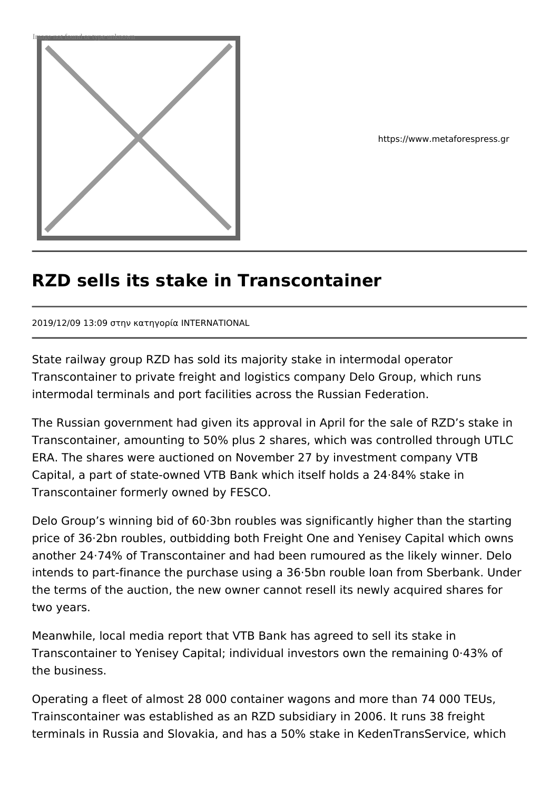

https://www.metaforespress.gr

## **RZD sells its stake in Transcontainer**

2019/12/09 13:09 στην κατηγορία INTERNATIONAL

State railway group RZD has sold its majority stake in intermodal operator Transcontainer to private freight and logistics company Delo Group, which runs intermodal terminals and port facilities across the Russian Federation.

The Russian government had given its approval in April for the sale of RZD's stake in Transcontainer, amounting to 50% plus 2 shares, which was controlled through UTLC ERA. The shares were auctioned on November 27 by investment company VTB Capital, a part of state-owned VTB Bank which itself holds a 24·84% stake in Transcontainer formerly owned by FESCO.

Delo Group's winning bid of 60·3bn roubles was significantly higher than the starting price of 36·2bn roubles, outbidding both Freight One and Yenisey Capital which owns another 24·74% of Transcontainer and had been rumoured as the likely winner. Delo intends to part-finance the purchase using a 36·5bn rouble loan from Sberbank. Under the terms of the auction, the new owner cannot resell its newly acquired shares for two years.

Meanwhile, local media report that VTB Bank has agreed to sell its stake in Transcontainer to Yenisey Capital; individual investors own the remaining 0·43% of the business.

Operating a fleet of almost 28 000 container wagons and more than 74 000 TEUs, Trainscontainer was established as an RZD subsidiary in 2006. It runs 38 freight terminals in Russia and Slovakia, and has a 50% stake in KedenTransService, which